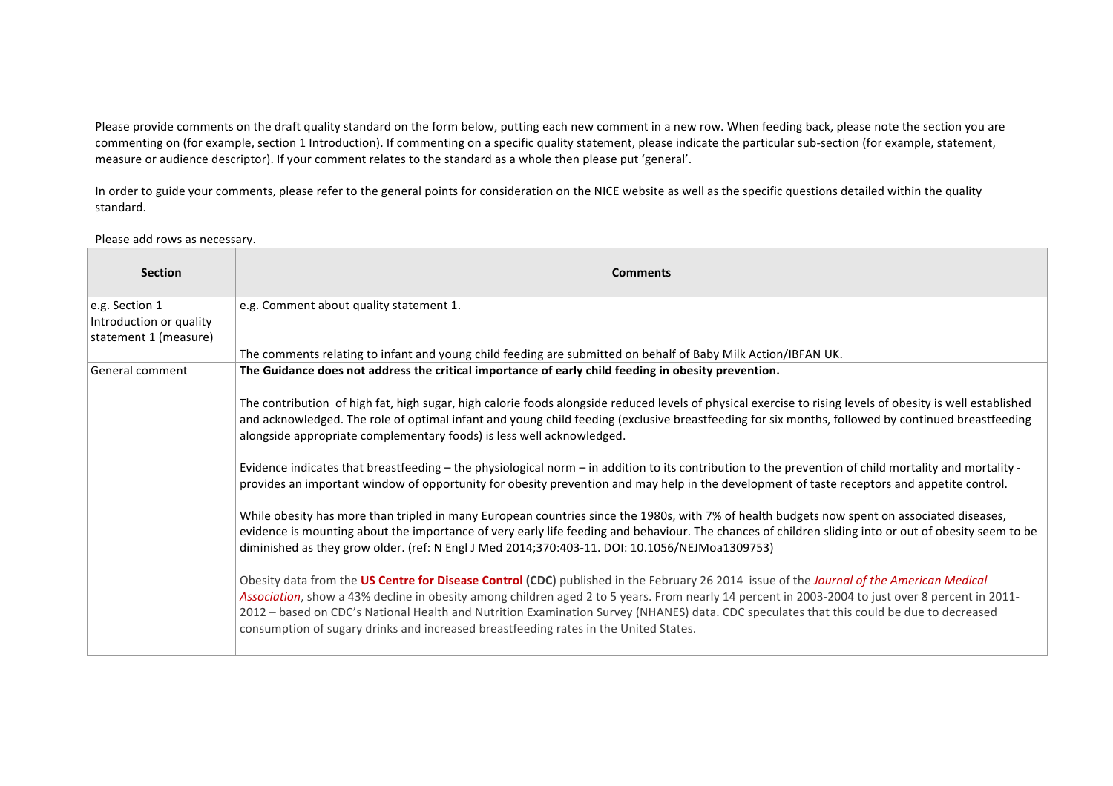Please provide comments on the draft quality standard on the form below, putting each new comment in a new row. When feeding back, please note the section you are commenting on (for example, section 1 Introduction). If commenting on a specific quality statement, please indicate the particular sub-section (for example, statement, measure or audience descriptor). If your comment relates to the standard as a whole then please put 'general'.

In order to guide your comments, please refer to the general points for consideration on the NICE website as well as the specific questions detailed within the quality standard. 

## Please add rows as necessary.

| <b>Section</b>                            | <b>Comments</b>                                                                                                                                                                                                                                                                                                                                                                                                                                                                                                                  |
|-------------------------------------------|----------------------------------------------------------------------------------------------------------------------------------------------------------------------------------------------------------------------------------------------------------------------------------------------------------------------------------------------------------------------------------------------------------------------------------------------------------------------------------------------------------------------------------|
| e.g. Section 1<br>Introduction or quality | e.g. Comment about quality statement 1.                                                                                                                                                                                                                                                                                                                                                                                                                                                                                          |
| statement 1 (measure)                     |                                                                                                                                                                                                                                                                                                                                                                                                                                                                                                                                  |
|                                           | The comments relating to infant and young child feeding are submitted on behalf of Baby Milk Action/IBFAN UK.                                                                                                                                                                                                                                                                                                                                                                                                                    |
| General comment                           | The Guidance does not address the critical importance of early child feeding in obesity prevention.                                                                                                                                                                                                                                                                                                                                                                                                                              |
|                                           | The contribution of high fat, high sugar, high calorie foods alongside reduced levels of physical exercise to rising levels of obesity is well established<br>and acknowledged. The role of optimal infant and young child feeding (exclusive breastfeeding for six months, followed by continued breastfeeding<br>alongside appropriate complementary foods) is less well acknowledged.                                                                                                                                         |
|                                           | Evidence indicates that breastfeeding – the physiological norm – in addition to its contribution to the prevention of child mortality and mortality -<br>provides an important window of opportunity for obesity prevention and may help in the development of taste receptors and appetite control.                                                                                                                                                                                                                             |
|                                           | While obesity has more than tripled in many European countries since the 1980s, with 7% of health budgets now spent on associated diseases,<br>evidence is mounting about the importance of very early life feeding and behaviour. The chances of children sliding into or out of obesity seem to be<br>diminished as they grow older. (ref: N Engl J Med 2014;370:403-11. DOI: 10.1056/NEJMoa1309753)                                                                                                                           |
|                                           | Obesity data from the US Centre for Disease Control (CDC) published in the February 26 2014 issue of the Journal of the American Medical<br>Association, show a 43% decline in obesity among children aged 2 to 5 years. From nearly 14 percent in 2003-2004 to just over 8 percent in 2011-<br>2012 - based on CDC's National Health and Nutrition Examination Survey (NHANES) data. CDC speculates that this could be due to decreased<br>consumption of sugary drinks and increased breastfeeding rates in the United States. |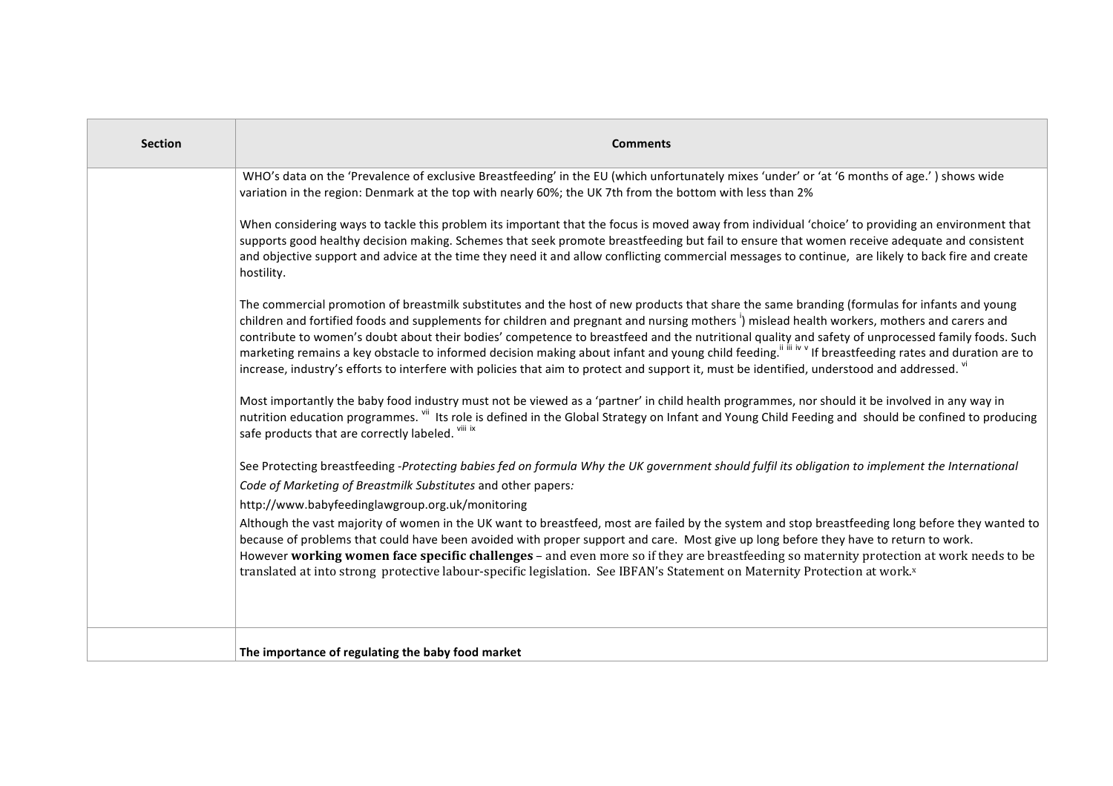| <b>Section</b> | <b>Comments</b>                                                                                                                                                                                                                                                                                                                                                                                                                                                                                                                                                                                                                                                                                                                                                    |
|----------------|--------------------------------------------------------------------------------------------------------------------------------------------------------------------------------------------------------------------------------------------------------------------------------------------------------------------------------------------------------------------------------------------------------------------------------------------------------------------------------------------------------------------------------------------------------------------------------------------------------------------------------------------------------------------------------------------------------------------------------------------------------------------|
|                | WHO's data on the 'Prevalence of exclusive Breastfeeding' in the EU (which unfortunately mixes 'under' or 'at '6 months of age.') shows wide<br>variation in the region: Denmark at the top with nearly 60%; the UK 7th from the bottom with less than 2%                                                                                                                                                                                                                                                                                                                                                                                                                                                                                                          |
|                | When considering ways to tackle this problem its important that the focus is moved away from individual 'choice' to providing an environment that<br>supports good healthy decision making. Schemes that seek promote breastfeeding but fail to ensure that women receive adequate and consistent<br>and objective support and advice at the time they need it and allow conflicting commercial messages to continue, are likely to back fire and create<br>hostility.                                                                                                                                                                                                                                                                                             |
|                | The commercial promotion of breastmilk substitutes and the host of new products that share the same branding (formulas for infants and young<br>children and fortified foods and supplements for children and pregnant and nursing mothers <sup>1</sup> ) mislead health workers, mothers and carers and<br>contribute to women's doubt about their bodies' competence to breastfeed and the nutritional quality and safety of unprocessed family foods. Such<br>marketing remains a key obstacle to informed decision making about infant and young child feeding." "" If breastfeeding rates and duration are to<br>increase, industry's efforts to interfere with policies that aim to protect and support it, must be identified, understood and addressed. vi |
|                | Most importantly the baby food industry must not be viewed as a 'partner' in child health programmes, nor should it be involved in any way in<br>nutrition education programmes. Vii Its role is defined in the Global Strategy on Infant and Young Child Feeding and should be confined to producing<br>safe products that are correctly labeled. Vili ix                                                                                                                                                                                                                                                                                                                                                                                                         |
|                | See Protecting breastfeeding -Protecting babies fed on formula Why the UK government should fulfil its obligation to implement the International<br>Code of Marketing of Breastmilk Substitutes and other papers:<br>http://www.babyfeedinglawgroup.org.uk/monitoring                                                                                                                                                                                                                                                                                                                                                                                                                                                                                              |
|                | Although the vast majority of women in the UK want to breastfeed, most are failed by the system and stop breastfeeding long before they wanted to<br>because of problems that could have been avoided with proper support and care. Most give up long before they have to return to work.<br>However working women face specific challenges - and even more so if they are breastfeeding so maternity protection at work needs to be<br>translated at into strong protective labour-specific legislation. See IBFAN's Statement on Maternity Protection at work.x                                                                                                                                                                                                  |
|                | The importance of regulating the baby food market                                                                                                                                                                                                                                                                                                                                                                                                                                                                                                                                                                                                                                                                                                                  |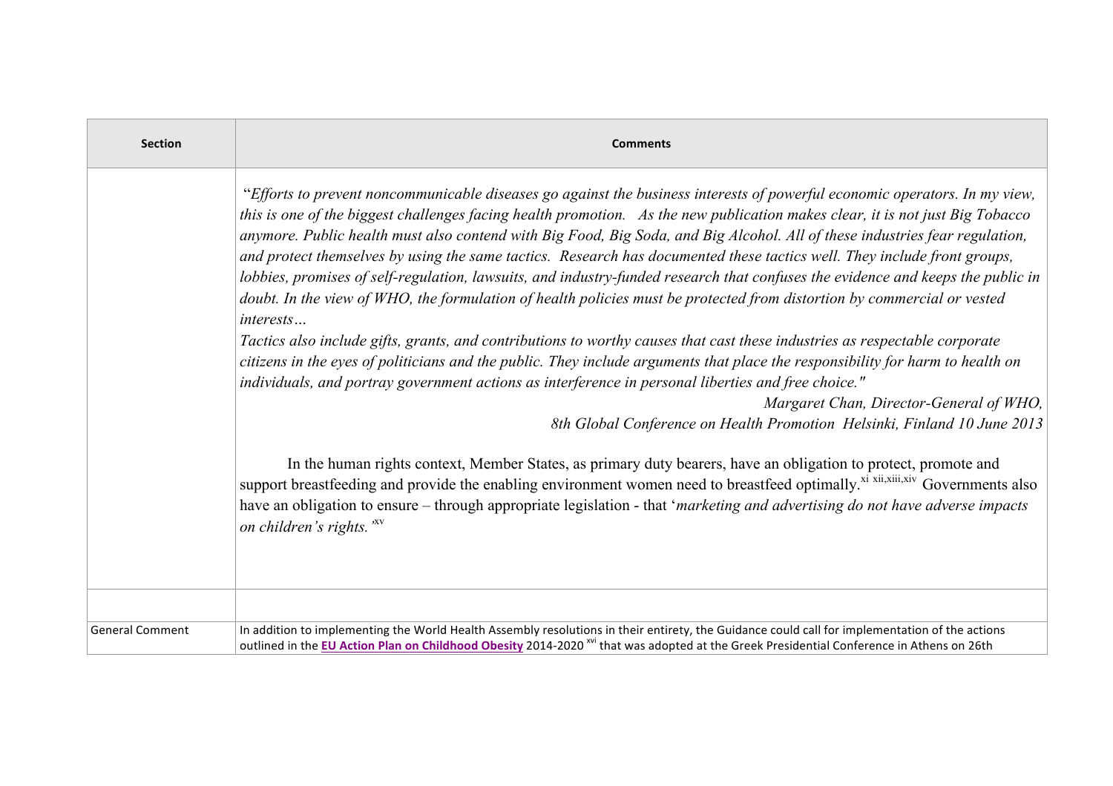| <b>Section</b>         | <b>Comments</b>                                                                                                                                                                                                                                                                                                                                                                                                                                                                                                                                                                                                                                                                                                                                                                                                                                                                                                                                                                                                                                                                                                                                                                                                                                                                                 |
|------------------------|-------------------------------------------------------------------------------------------------------------------------------------------------------------------------------------------------------------------------------------------------------------------------------------------------------------------------------------------------------------------------------------------------------------------------------------------------------------------------------------------------------------------------------------------------------------------------------------------------------------------------------------------------------------------------------------------------------------------------------------------------------------------------------------------------------------------------------------------------------------------------------------------------------------------------------------------------------------------------------------------------------------------------------------------------------------------------------------------------------------------------------------------------------------------------------------------------------------------------------------------------------------------------------------------------|
|                        | "Efforts to prevent noncommunicable diseases go against the business interests of powerful economic operators. In my view,<br>this is one of the biggest challenges facing health promotion. As the new publication makes clear, it is not just Big Tobacco<br>anymore. Public health must also contend with Big Food, Big Soda, and Big Alcohol. All of these industries fear regulation,<br>and protect themselves by using the same tactics. Research has documented these tactics well. They include front groups,<br>lobbies, promises of self-regulation, lawsuits, and industry-funded research that confuses the evidence and keeps the public in<br>doubt. In the view of WHO, the formulation of health policies must be protected from distortion by commercial or vested<br>interests<br>Tactics also include gifts, grants, and contributions to worthy causes that cast these industries as respectable corporate<br>citizens in the eyes of politicians and the public. They include arguments that place the responsibility for harm to health on<br>individuals, and portray government actions as interference in personal liberties and free choice."<br>Margaret Chan, Director-General of WHO,<br>8th Global Conference on Health Promotion Helsinki, Finland 10 June 2013 |
|                        | In the human rights context, Member States, as primary duty bearers, have an obligation to protect, promote and<br>support breastfeeding and provide the enabling environment women need to breastfeed optimally. <sup>xi xii,xiii,xiv</sup> Governments also<br>have an obligation to ensure – through appropriate legislation - that 'marketing and advertising do not have adverse impacts<br>on children's rights. "XV                                                                                                                                                                                                                                                                                                                                                                                                                                                                                                                                                                                                                                                                                                                                                                                                                                                                      |
| <b>General Comment</b> | In addition to implementing the World Health Assembly resolutions in their entirety, the Guidance could call for implementation of the actions<br>outlined in the EU Action Plan on Childhood Obesity 2014-2020 <sup>xvi</sup> that was adopted at the Greek Presidential Conference in Athens on 26th                                                                                                                                                                                                                                                                                                                                                                                                                                                                                                                                                                                                                                                                                                                                                                                                                                                                                                                                                                                          |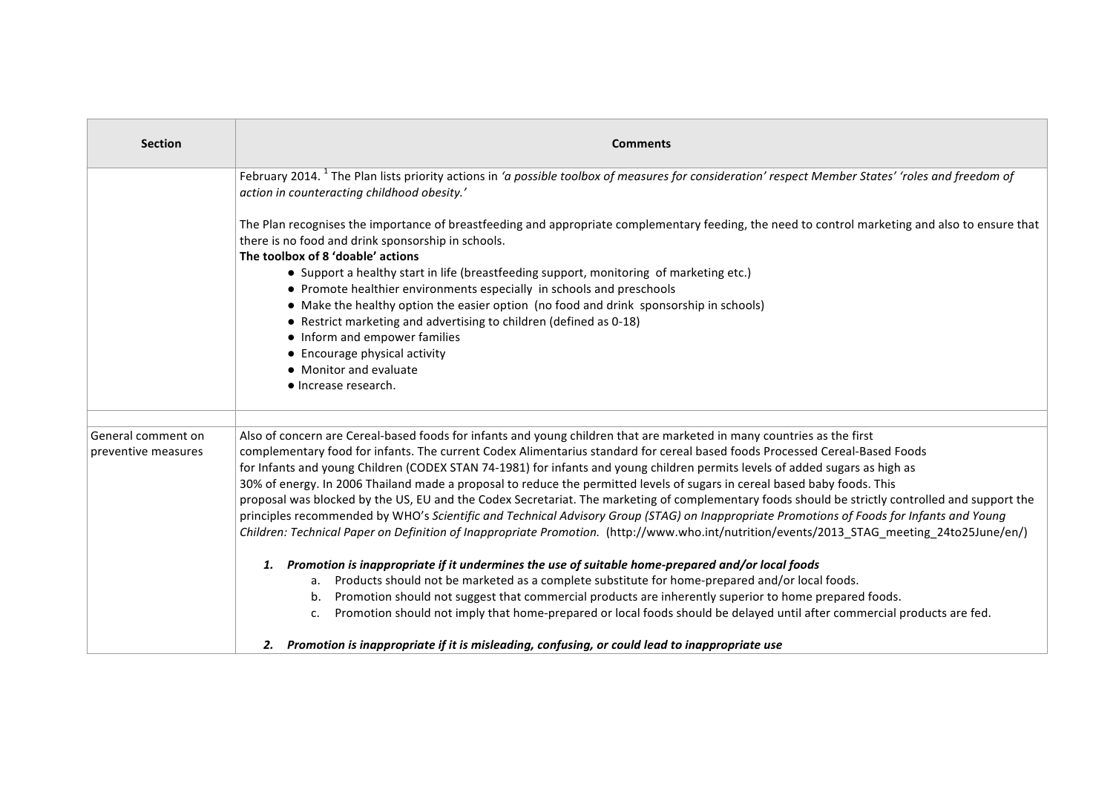| <b>Section</b>      | <b>Comments</b>                                                                                                                                                                                               |
|---------------------|---------------------------------------------------------------------------------------------------------------------------------------------------------------------------------------------------------------|
|                     | February 2014. <sup>1</sup> The Plan lists priority actions in 'a possible toolbox of measures for consideration' respect Member States' 'roles and freedom of<br>action in counteracting childhood obesity.' |
|                     | The Plan recognises the importance of breastfeeding and appropriate complementary feeding, the need to control marketing and also to ensure that<br>there is no food and drink sponsorship in schools.        |
|                     | The toolbox of 8 'doable' actions                                                                                                                                                                             |
|                     | • Support a healthy start in life (breastfeeding support, monitoring of marketing etc.)                                                                                                                       |
|                     | • Promote healthier environments especially in schools and preschools                                                                                                                                         |
|                     | • Make the healthy option the easier option (no food and drink sponsorship in schools)<br>• Restrict marketing and advertising to children (defined as 0-18)                                                  |
|                     | • Inform and empower families                                                                                                                                                                                 |
|                     | • Encourage physical activity                                                                                                                                                                                 |
|                     | • Monitor and evaluate                                                                                                                                                                                        |
|                     | • Increase research.                                                                                                                                                                                          |
| General comment on  | Also of concern are Cereal-based foods for infants and young children that are marketed in many countries as the first                                                                                        |
| preventive measures | complementary food for infants. The current Codex Alimentarius standard for cereal based foods Processed Cereal-Based Foods                                                                                   |
|                     | for Infants and young Children (CODEX STAN 74-1981) for infants and young children permits levels of added sugars as high as                                                                                  |
|                     | 30% of energy. In 2006 Thailand made a proposal to reduce the permitted levels of sugars in cereal based baby foods. This                                                                                     |
|                     | proposal was blocked by the US, EU and the Codex Secretariat. The marketing of complementary foods should be strictly controlled and support the                                                              |
|                     | principles recommended by WHO's Scientific and Technical Advisory Group (STAG) on Inappropriate Promotions of Foods for Infants and Young                                                                     |
|                     | Children: Technical Paper on Definition of Inappropriate Promotion. (http://www.who.int/nutrition/events/2013 STAG meeting 24to25June/en/)                                                                    |
|                     | 1. Promotion is inappropriate if it undermines the use of suitable home-prepared and/or local foods                                                                                                           |
|                     | a. Products should not be marketed as a complete substitute for home-prepared and/or local foods.                                                                                                             |
|                     | b. Promotion should not suggest that commercial products are inherently superior to home prepared foods.                                                                                                      |
|                     | Promotion should not imply that home-prepared or local foods should be delayed until after commercial products are fed.<br>c.                                                                                 |
|                     | 2. Promotion is inappropriate if it is misleading, confusing, or could lead to inappropriate use                                                                                                              |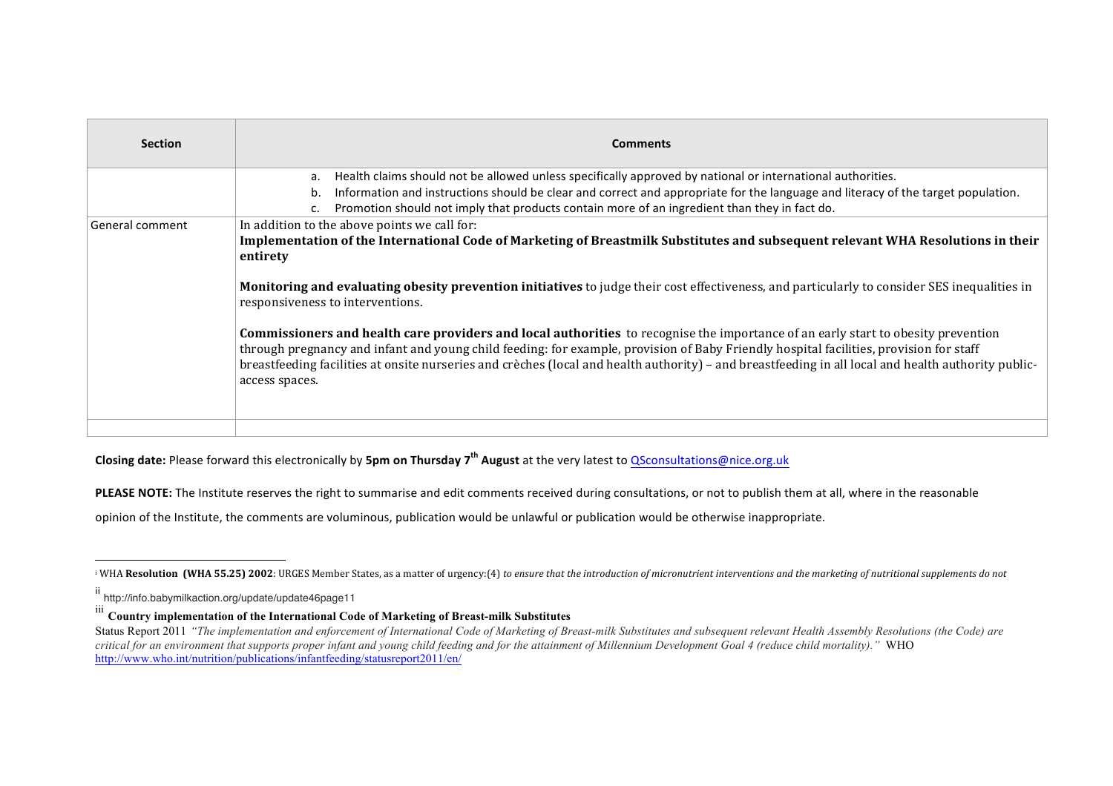| <b>Section</b>  | <b>Comments</b>                                                                                                                                                                                                                                                                                                                                                                                                                                             |
|-----------------|-------------------------------------------------------------------------------------------------------------------------------------------------------------------------------------------------------------------------------------------------------------------------------------------------------------------------------------------------------------------------------------------------------------------------------------------------------------|
|                 | Health claims should not be allowed unless specifically approved by national or international authorities.<br>a.                                                                                                                                                                                                                                                                                                                                            |
|                 | Information and instructions should be clear and correct and appropriate for the language and literacy of the target population.<br>b.                                                                                                                                                                                                                                                                                                                      |
|                 | Promotion should not imply that products contain more of an ingredient than they in fact do.                                                                                                                                                                                                                                                                                                                                                                |
| General comment | In addition to the above points we call for:<br>Implementation of the International Code of Marketing of Breastmilk Substitutes and subsequent relevant WHA Resolutions in their<br>entirety                                                                                                                                                                                                                                                                |
|                 | <b>Monitoring and evaluating obesity prevention initiatives</b> to judge their cost effectiveness, and particularly to consider SES inequalities in<br>responsiveness to interventions.                                                                                                                                                                                                                                                                     |
|                 | <b>Commissioners and health care providers and local authorities</b> to recognise the importance of an early start to obesity prevention<br>through pregnancy and infant and young child feeding: for example, provision of Baby Friendly hospital facilities, provision for staff<br>breastfeeding facilities at onsite nurseries and crèches (local and health authority) – and breastfeeding in all local and health authority public-<br>access spaces. |
|                 |                                                                                                                                                                                                                                                                                                                                                                                                                                                             |

**Closing date:** Please forward this electronically by 5pm on Thursday 7<sup>th</sup> August at the very latest to QSconsultations@nice.org.uk

PLEASE NOTE: The Institute reserves the right to summarise and edit comments received during consultations, or not to publish them at all, where in the reasonable

opinion of the Institute, the comments are voluminous, publication would be unlawful or publication would be otherwise inappropriate.

 $\overline{a}$ 

<sup>&</sup>lt;sup>i</sup> WHA **Resolution (WHA 55.25) 2002**: URGES Member States, as a matter of urgency:(4) to ensure that the introduction of micronutrient interventions and the marketing of nutritional supplements do not

ii http://info.babymilkaction.org/update/update46page11

iii **Country implementation of the International Code of Marketing of Breast-milk Substitutes**

Status Report 2011 *"The implementation and enforcement of International Code of Marketing of Breast-milk Substitutes and subsequent relevant Health Assembly Resolutions (the Code) are critical for an environment that supports proper infant and young child feeding and for the attainment of Millennium Development Goal 4 (reduce child mortality)."* WHO http://www.who.int/nutrition/publications/infantfeeding/statusreport2011/en/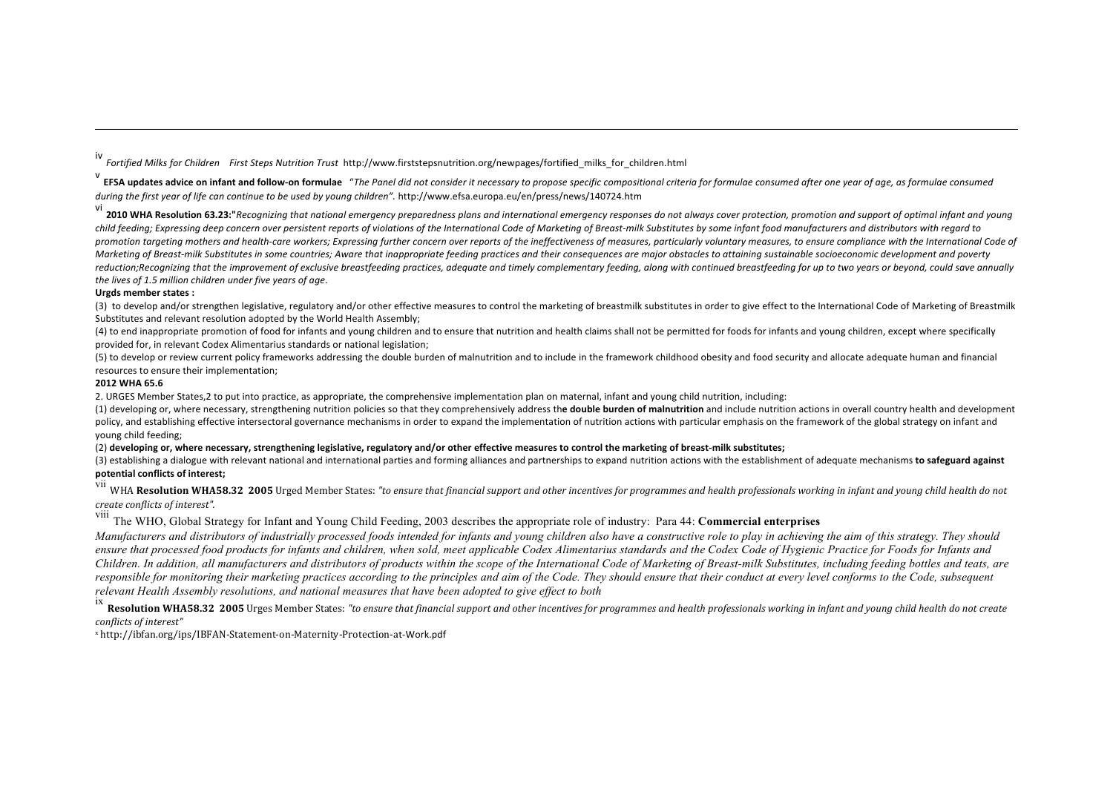iv *Fortified Milks for Children First Steps Nutrition Trust* http://www.firststepsnutrition.org/newpages/fortified\_milks\_for\_children.html

**EFSA updates advice on infant and follow-on formulae** "The Panel did not consider it necessary to propose specific compositional criteria for formulae consumed after one year of age, as formulae consumed during the first year of life can continue to be used by young children". http://www.efsa.europa.eu/en/press/news/140724.htm

vi<br>**2010 WHA Resolution 63.23:"***Recognizing that national emergency preparedness plans and international emergency responses do not always cover protection, promotion and support of optimal infant and young child feeding; Expressing deep concern over persistent reports of violations of the International Code of Marketing of Breast-milk Substitutes by some infant food manufacturers and distributors with regard to*  promotion targeting mothers and health-care workers; Expressing further concern over reports of the ineffectiveness of measures, particularly voluntary measures, to ensure compliance with the International Code of Marketing of Breast-milk Substitutes in some countries; Aware that inappropriate feeding practices and their consequences are major obstacles to attaining sustainable socioeconomic development and poverty reduction;Recognizing that the improvement of exclusive breastfeeding practices, adequate and timely complementary feeding, along with continued breastfeeding for up to two years or beyond, could save annually *the lives of 1.5 million children under five years of age.* 

## **Urgds member states:**

 $\overline{a}$ 

(3) to develop and/or strengthen legislative, regulatory and/or other effective measures to control the marketing of breastmilk substitutes in order to give effect to the International Code of Marketing of Breastmilk Substitutes and relevant resolution adopted by the World Health Assembly:

(4) to end inappropriate promotion of food for infants and young children and to ensure that nutrition and health claims shall not be permitted for foods for infants and young children, except where specifically provided for, in relevant Codex Alimentarius standards or national legislation:

(5) to develop or review current policy frameworks addressing the double burden of malnutrition and to include in the framework childhood obesity and food security and allocate adequate human and financial resources to ensure their implementation;

## **2012 WHA 65.6**

2. URGES Member States, 2 to put into practice, as appropriate, the comprehensive implementation plan on maternal, infant and young child nutrition, including:

(1) developing or, where necessary, strengthening nutrition policies so that they comprehensively address the double burden of malnutrition and include nutrition actions in overall country health and development policy, and establishing effective intersectoral governance mechanisms in order to expand the implementation of nutrition actions with particular emphasis on the framework of the global strategy on infant and voung child feeding:

(2) developing or, where necessary, strengthening legislative, regulatory and/or other effective measures to control the marketing of breast-milk substitutes;

(3) establishing a dialogue with relevant national and international parties and forming alliances and partnerships to expand nutrition actions with the establishment of adequate mechanisms **to safeguard against potential conflicts of interest;**

vii WHA Resolution WHA58.32 2005 Urged Member States: "to ensure that financial support and other incentives for programmes and health professionals working in infant and young child health do not *create conflicts of interest".* 

viii The WHO, Global Strategy for Infant and Young Child Feeding, 2003 describes the appropriate role of industry: Para 44: **Commercial enterprises**

*Manufacturers and distributors of industrially processed foods intended for infants and young children also have a constructive role to play in achieving the aim of this strategy. They should ensure that processed food products for infants and children, when sold, meet applicable Codex Alimentarius standards and the Codex Code of Hygienic Practice for Foods for Infants and Children. In addition, all manufacturers and distributors of products within the scope of the International Code of Marketing of Breast-milk Substitutes, including feeding bottles and teats, are*  responsible for monitoring their marketing practices according to the principles and aim of the Code. They should ensure that their conduct at every level conforms to the Code, subsequent *relevant Health Assembly resolutions, and national measures that have been adopted to give effect to both*

ix **Resolution WHA58.32 2005** Urges Member States: "to ensure that financial support and other incentives for programmes and health professionals working in infant and young child health do not create *conflicts of interest"*

<sup>x</sup> http://ibfan.org/ips/IBFAN-Statement-on-Maternity-Protection-at-Work.pdf